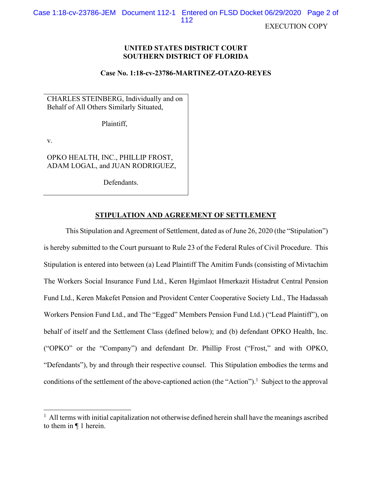EXECUTION COPY

# **UNITED STATES DISTRICT COURT SOUTHERN DISTRICT OF FLORIDA**

# **Case No. 1:18-cv-23786-MARTINEZ-OTAZO-REYES**

CHARLES STEINBERG, Individually and on Behalf of All Others Similarly Situated,

Plaintiff,

v.

OPKO HEALTH, INC., PHILLIP FROST, ADAM LOGAL, and JUAN RODRIGUEZ,

Defendants.

# **STIPULATION AND AGREEMENT OF SETTLEMENT**

This Stipulation and Agreement of Settlement, dated as of June 26, 2020 (the "Stipulation") is hereby submitted to the Court pursuant to Rule 23 of the Federal Rules of Civil Procedure. This Stipulation is entered into between (a) Lead Plaintiff The Amitim Funds (consisting of Mivtachim The Workers Social Insurance Fund Ltd., Keren Hgimlaot Hmerkazit Histadrut Central Pension Fund Ltd., Keren Makefet Pension and Provident Center Cooperative Society Ltd., The Hadassah Workers Pension Fund Ltd., and The "Egged" Members Pension Fund Ltd.) ("Lead Plaintiff"), on behalf of itself and the Settlement Class (defined below); and (b) defendant OPKO Health, Inc. ("OPKO" or the "Company") and defendant Dr. Phillip Frost ("Frost," and with OPKO, "Defendants"), by and through their respective counsel. This Stipulation embodies the terms and conditions of the settlement of the above-captioned action (the "Action").<sup>1</sup> Subject to the approval

 $<sup>1</sup>$  All terms with initial capitalization not otherwise defined herein shall have the meanings ascribed</sup> to them in ¶ 1 herein.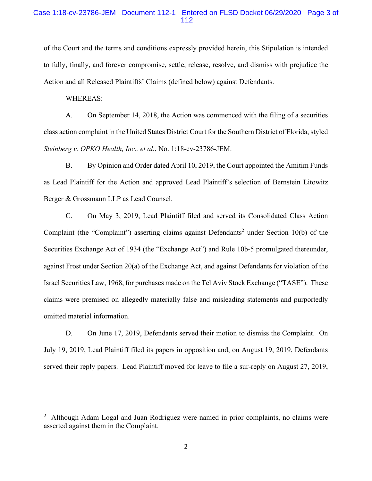# Case 1:18-cv-23786-JEM Document 112-1 Entered on FLSD Docket 06/29/2020 Page 3 of 112

of the Court and the terms and conditions expressly provided herein, this Stipulation is intended to fully, finally, and forever compromise, settle, release, resolve, and dismiss with prejudice the Action and all Released Plaintiffs' Claims (defined below) against Defendants.

WHEREAS:

A. On September 14, 2018, the Action was commenced with the filing of a securities class action complaint in the United States District Court for the Southern District of Florida, styled *Steinberg v. OPKO Health, Inc., et al.*, No. 1:18-cv-23786-JEM.

B. By Opinion and Order dated April 10, 2019, the Court appointed the Amitim Funds as Lead Plaintiff for the Action and approved Lead Plaintiff's selection of Bernstein Litowitz Berger & Grossmann LLP as Lead Counsel.

C. On May 3, 2019, Lead Plaintiff filed and served its Consolidated Class Action Complaint (the "Complaint") asserting claims against Defendants<sup>2</sup> under Section 10(b) of the Securities Exchange Act of 1934 (the "Exchange Act") and Rule 10b-5 promulgated thereunder, against Frost under Section 20(a) of the Exchange Act, and against Defendants for violation of the Israel Securities Law, 1968, for purchases made on the Tel Aviv Stock Exchange ("TASE"). These claims were premised on allegedly materially false and misleading statements and purportedly omitted material information.

D. On June 17, 2019, Defendants served their motion to dismiss the Complaint. On July 19, 2019, Lead Plaintiff filed its papers in opposition and, on August 19, 2019, Defendants served their reply papers. Lead Plaintiff moved for leave to file a sur-reply on August 27, 2019,

<sup>2</sup> Although Adam Logal and Juan Rodriguez were named in prior complaints, no claims were asserted against them in the Complaint.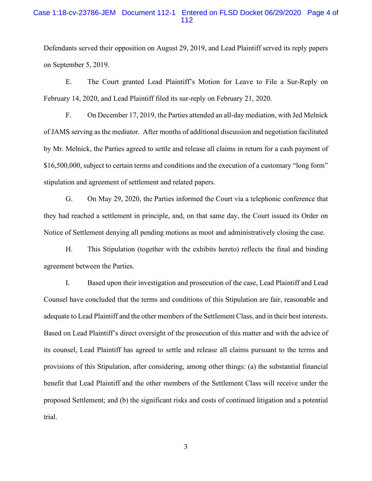# Case 1:18-cv-23786-JEM Document 112-1 Entered on FLSD Docket 06/29/2020 Page 4 of 112

Defendants served their opposition on August 29, 2019, and Lead Plaintiff served its reply papers on September 5, 2019.

E. The Court granted Lead Plaintiff's Motion for Leave to File a Sur-Reply on February 14, 2020, and Lead Plaintiff filed its sur-reply on February 21, 2020.

F. On December 17, 2019, the Parties attended an all-day mediation, with Jed Melnick of JAMS serving as the mediator. After months of additional discussion and negotiation facilitated by Mr. Melnick, the Parties agreed to settle and release all claims in return for a cash payment of \$16,500,000, subject to certain terms and conditions and the execution of a customary "long form" stipulation and agreement of settlement and related papers.

G. On May 29, 2020, the Parties informed the Court via a telephonic conference that they had reached a settlement in principle, and, on that same day, the Court issued its Order on Notice of Settlement denying all pending motions as moot and administratively closing the case.

H. This Stipulation (together with the exhibits hereto) reflects the final and binding agreement between the Parties.

I. Based upon their investigation and prosecution of the case, Lead Plaintiff and Lead Counsel have concluded that the terms and conditions of this Stipulation are fair, reasonable and adequate to Lead Plaintiff and the other members of the Settlement Class, and in their best interests. Based on Lead Plaintiff's direct oversight of the prosecution of this matter and with the advice of its counsel, Lead Plaintiff has agreed to settle and release all claims pursuant to the terms and provisions of this Stipulation, after considering, among other things: (a) the substantial financial benefit that Lead Plaintiff and the other members of the Settlement Class will receive under the proposed Settlement; and (b) the significant risks and costs of continued litigation and a potential trial.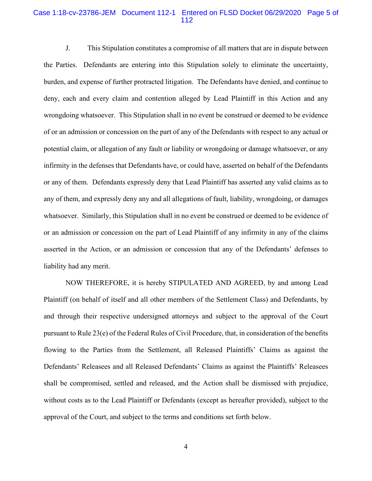## Case 1:18-cv-23786-JEM Document 112-1 Entered on FLSD Docket 06/29/2020 Page 5 of 112

J. This Stipulation constitutes a compromise of all matters that are in dispute between the Parties. Defendants are entering into this Stipulation solely to eliminate the uncertainty, burden, and expense of further protracted litigation. The Defendants have denied, and continue to deny, each and every claim and contention alleged by Lead Plaintiff in this Action and any wrongdoing whatsoever. This Stipulation shall in no event be construed or deemed to be evidence of or an admission or concession on the part of any of the Defendants with respect to any actual or potential claim, or allegation of any fault or liability or wrongdoing or damage whatsoever, or any infirmity in the defenses that Defendants have, or could have, asserted on behalf of the Defendants or any of them. Defendants expressly deny that Lead Plaintiff has asserted any valid claims as to any of them, and expressly deny any and all allegations of fault, liability, wrongdoing, or damages whatsoever. Similarly, this Stipulation shall in no event be construed or deemed to be evidence of or an admission or concession on the part of Lead Plaintiff of any infirmity in any of the claims asserted in the Action, or an admission or concession that any of the Defendants' defenses to liability had any merit.

NOW THEREFORE, it is hereby STIPULATED AND AGREED, by and among Lead Plaintiff (on behalf of itself and all other members of the Settlement Class) and Defendants, by and through their respective undersigned attorneys and subject to the approval of the Court pursuant to Rule 23(e) of the Federal Rules of Civil Procedure, that, in consideration of the benefits flowing to the Parties from the Settlement, all Released Plaintiffs' Claims as against the Defendants' Releasees and all Released Defendants' Claims as against the Plaintiffs' Releasees shall be compromised, settled and released, and the Action shall be dismissed with prejudice, without costs as to the Lead Plaintiff or Defendants (except as hereafter provided), subject to the approval of the Court, and subject to the terms and conditions set forth below.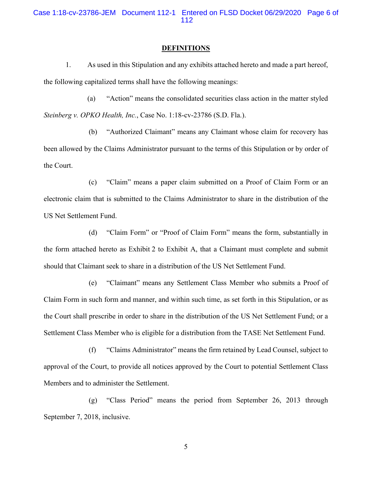Case 1:18-cv-23786-JEM Document 112-1 Entered on FLSD Docket 06/29/2020 Page 6 of 112

#### **DEFINITIONS**

1. As used in this Stipulation and any exhibits attached hereto and made a part hereof, the following capitalized terms shall have the following meanings:

(a) "Action" means the consolidated securities class action in the matter styled *Steinberg v. OPKO Health, Inc.*, Case No. 1:18-cv-23786 (S.D. Fla.).

(b) "Authorized Claimant" means any Claimant whose claim for recovery has been allowed by the Claims Administrator pursuant to the terms of this Stipulation or by order of the Court.

(c) "Claim" means a paper claim submitted on a Proof of Claim Form or an electronic claim that is submitted to the Claims Administrator to share in the distribution of the US Net Settlement Fund.

(d) "Claim Form" or "Proof of Claim Form" means the form, substantially in the form attached hereto as Exhibit 2 to Exhibit A, that a Claimant must complete and submit should that Claimant seek to share in a distribution of the US Net Settlement Fund.

(e) "Claimant" means any Settlement Class Member who submits a Proof of Claim Form in such form and manner, and within such time, as set forth in this Stipulation, or as the Court shall prescribe in order to share in the distribution of the US Net Settlement Fund; or a Settlement Class Member who is eligible for a distribution from the TASE Net Settlement Fund.

(f) "Claims Administrator" means the firm retained by Lead Counsel, subject to approval of the Court, to provide all notices approved by the Court to potential Settlement Class Members and to administer the Settlement.

(g) "Class Period" means the period from September 26, 2013 through September 7, 2018, inclusive.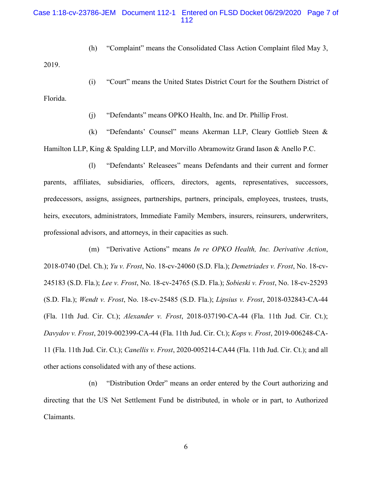# Case 1:18-cv-23786-JEM Document 112-1 Entered on FLSD Docket 06/29/2020 Page 7 of 112

(h) "Complaint" means the Consolidated Class Action Complaint filed May 3,

2019.

(i) "Court" means the United States District Court for the Southern District of Florida.

(j) "Defendants" means OPKO Health, Inc. and Dr. Phillip Frost.

(k) "Defendants' Counsel" means Akerman LLP, Cleary Gottlieb Steen & Hamilton LLP, King & Spalding LLP, and Morvillo Abramowitz Grand Iason & Anello P.C.

(l) "Defendants' Releasees" means Defendants and their current and former parents, affiliates, subsidiaries, officers, directors, agents, representatives, successors, predecessors, assigns, assignees, partnerships, partners, principals, employees, trustees, trusts, heirs, executors, administrators, Immediate Family Members, insurers, reinsurers, underwriters, professional advisors, and attorneys, in their capacities as such.

(m) "Derivative Actions" means *In re OPKO Health, Inc. Derivative Action*, 2018-0740 (Del. Ch.); *Yu v. Frost*, No. 18-cv-24060 (S.D. Fla.); *Demetriades v. Frost*, No. 18-cv-245183 (S.D. Fla.); *Lee v. Frost*, No. 18-cv-24765 (S.D. Fla.); *Sobieski v. Frost*, No. 18-cv-25293 (S.D. Fla.); *Wendt v. Frost*, No. 18-cv-25485 (S.D. Fla.); *Lipsius v. Frost*, 2018-032843-CA-44 (Fla. 11th Jud. Cir. Ct.); *Alexander v. Frost*, 2018-037190-CA-44 (Fla. 11th Jud. Cir. Ct.); *Davydov v. Frost*, 2019-002399-CA-44 (Fla. 11th Jud. Cir. Ct.); *Kops v. Frost*, 2019-006248-CA-11 (Fla. 11th Jud. Cir. Ct.); *Canellis v. Frost*, 2020-005214-CA44 (Fla. 11th Jud. Cir. Ct.); and all other actions consolidated with any of these actions.

(n) "Distribution Order" means an order entered by the Court authorizing and directing that the US Net Settlement Fund be distributed, in whole or in part, to Authorized Claimants.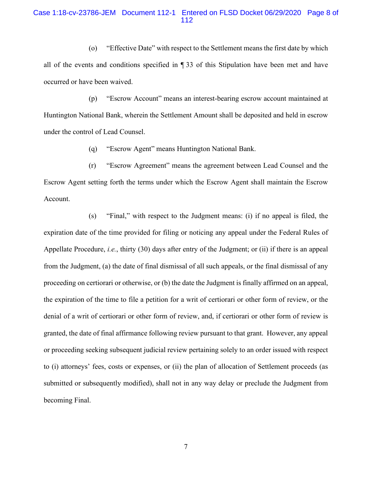# Case 1:18-cv-23786-JEM Document 112-1 Entered on FLSD Docket 06/29/2020 Page 8 of 112

(o) "Effective Date" with respect to the Settlement means the first date by which all of the events and conditions specified in ¶ 33 of this Stipulation have been met and have occurred or have been waived.

(p) "Escrow Account" means an interest-bearing escrow account maintained at Huntington National Bank, wherein the Settlement Amount shall be deposited and held in escrow under the control of Lead Counsel.

(q) "Escrow Agent" means Huntington National Bank.

(r) "Escrow Agreement" means the agreement between Lead Counsel and the Escrow Agent setting forth the terms under which the Escrow Agent shall maintain the Escrow Account.

(s) "Final," with respect to the Judgment means: (i) if no appeal is filed, the expiration date of the time provided for filing or noticing any appeal under the Federal Rules of Appellate Procedure, *i.e.*, thirty (30) days after entry of the Judgment; or (ii) if there is an appeal from the Judgment, (a) the date of final dismissal of all such appeals, or the final dismissal of any proceeding on certiorari or otherwise, or (b) the date the Judgment is finally affirmed on an appeal, the expiration of the time to file a petition for a writ of certiorari or other form of review, or the denial of a writ of certiorari or other form of review, and, if certiorari or other form of review is granted, the date of final affirmance following review pursuant to that grant. However, any appeal or proceeding seeking subsequent judicial review pertaining solely to an order issued with respect to (i) attorneys' fees, costs or expenses, or (ii) the plan of allocation of Settlement proceeds (as submitted or subsequently modified), shall not in any way delay or preclude the Judgment from becoming Final.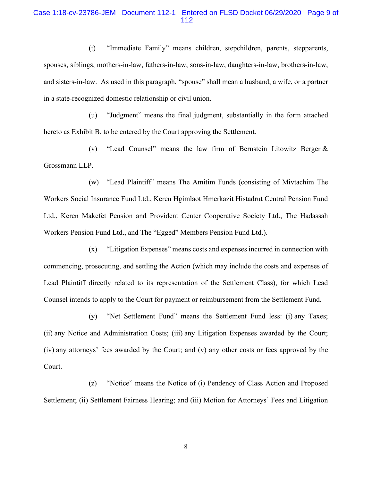# Case 1:18-cv-23786-JEM Document 112-1 Entered on FLSD Docket 06/29/2020 Page 9 of 112

(t) "Immediate Family" means children, stepchildren, parents, stepparents, spouses, siblings, mothers-in-law, fathers-in-law, sons-in-law, daughters-in-law, brothers-in-law, and sisters-in-law. As used in this paragraph, "spouse" shall mean a husband, a wife, or a partner in a state-recognized domestic relationship or civil union.

(u) "Judgment" means the final judgment, substantially in the form attached hereto as Exhibit B, to be entered by the Court approving the Settlement.

(v) "Lead Counsel" means the law firm of Bernstein Litowitz Berger & Grossmann LLP.

(w) "Lead Plaintiff" means The Amitim Funds (consisting of Mivtachim The Workers Social Insurance Fund Ltd., Keren Hgimlaot Hmerkazit Histadrut Central Pension Fund Ltd., Keren Makefet Pension and Provident Center Cooperative Society Ltd., The Hadassah Workers Pension Fund Ltd., and The "Egged" Members Pension Fund Ltd.).

(x) "Litigation Expenses" means costs and expenses incurred in connection with commencing, prosecuting, and settling the Action (which may include the costs and expenses of Lead Plaintiff directly related to its representation of the Settlement Class), for which Lead Counsel intends to apply to the Court for payment or reimbursement from the Settlement Fund.

(y) "Net Settlement Fund" means the Settlement Fund less: (i) any Taxes; (ii) any Notice and Administration Costs; (iii) any Litigation Expenses awarded by the Court; (iv) any attorneys' fees awarded by the Court; and (v) any other costs or fees approved by the Court.

(z) "Notice" means the Notice of (i) Pendency of Class Action and Proposed Settlement; (ii) Settlement Fairness Hearing; and (iii) Motion for Attorneys' Fees and Litigation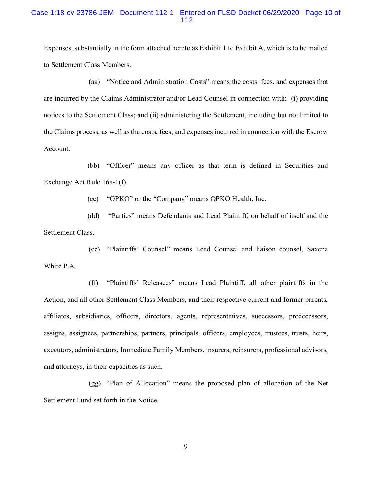## Case 1:18-cv-23786-JEM Document 112-1 Entered on FLSD Docket 06/29/2020 Page 10 of 112

Expenses, substantially in the form attached hereto as Exhibit 1 to Exhibit A, which is to be mailed to Settlement Class Members.

(aa) "Notice and Administration Costs" means the costs, fees, and expenses that are incurred by the Claims Administrator and/or Lead Counsel in connection with: (i) providing notices to the Settlement Class; and (ii) administering the Settlement, including but not limited to the Claims process, as well as the costs, fees, and expenses incurred in connection with the Escrow Account.

(bb) "Officer" means any officer as that term is defined in Securities and Exchange Act Rule 16a-1(f).

(cc) "OPKO" or the "Company" means OPKO Health, Inc.

(dd) "Parties" means Defendants and Lead Plaintiff, on behalf of itself and the Settlement Class.

(ee) "Plaintiffs' Counsel" means Lead Counsel and liaison counsel, Saxena White P.A.

(ff) "Plaintiffs' Releasees" means Lead Plaintiff, all other plaintiffs in the Action, and all other Settlement Class Members, and their respective current and former parents, affiliates, subsidiaries, officers, directors, agents, representatives, successors, predecessors, assigns, assignees, partnerships, partners, principals, officers, employees, trustees, trusts, heirs, executors, administrators, Immediate Family Members, insurers, reinsurers, professional advisors, and attorneys, in their capacities as such.

(gg) "Plan of Allocation" means the proposed plan of allocation of the Net Settlement Fund set forth in the Notice.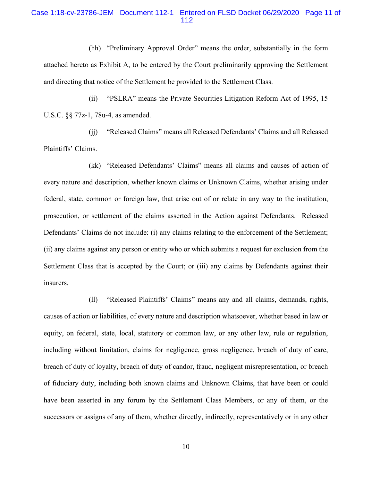# Case 1:18-cv-23786-JEM Document 112-1 Entered on FLSD Docket 06/29/2020 Page 11 of 112

(hh) "Preliminary Approval Order" means the order, substantially in the form attached hereto as Exhibit A, to be entered by the Court preliminarily approving the Settlement and directing that notice of the Settlement be provided to the Settlement Class.

(ii) "PSLRA" means the Private Securities Litigation Reform Act of 1995, 15 U.S.C. §§ 77z-1, 78u-4, as amended.

(jj) "Released Claims" means all Released Defendants' Claims and all Released Plaintiffs' Claims.

(kk) "Released Defendants' Claims" means all claims and causes of action of every nature and description, whether known claims or Unknown Claims, whether arising under federal, state, common or foreign law, that arise out of or relate in any way to the institution, prosecution, or settlement of the claims asserted in the Action against Defendants. Released Defendants' Claims do not include: (i) any claims relating to the enforcement of the Settlement; (ii) any claims against any person or entity who or which submits a request for exclusion from the Settlement Class that is accepted by the Court; or (iii) any claims by Defendants against their insurers.

(ll) "Released Plaintiffs' Claims" means any and all claims, demands, rights, causes of action or liabilities, of every nature and description whatsoever, whether based in law or equity, on federal, state, local, statutory or common law, or any other law, rule or regulation, including without limitation, claims for negligence, gross negligence, breach of duty of care, breach of duty of loyalty, breach of duty of candor, fraud, negligent misrepresentation, or breach of fiduciary duty, including both known claims and Unknown Claims, that have been or could have been asserted in any forum by the Settlement Class Members, or any of them, or the successors or assigns of any of them, whether directly, indirectly, representatively or in any other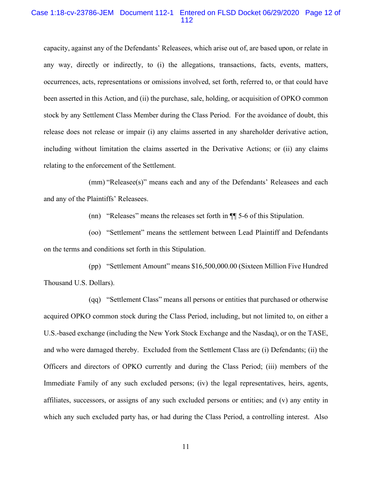### Case 1:18-cv-23786-JEM Document 112-1 Entered on FLSD Docket 06/29/2020 Page 12 of 112

capacity, against any of the Defendants' Releasees, which arise out of, are based upon, or relate in any way, directly or indirectly, to (i) the allegations, transactions, facts, events, matters, occurrences, acts, representations or omissions involved, set forth, referred to, or that could have been asserted in this Action, and (ii) the purchase, sale, holding, or acquisition of OPKO common stock by any Settlement Class Member during the Class Period. For the avoidance of doubt, this release does not release or impair (i) any claims asserted in any shareholder derivative action, including without limitation the claims asserted in the Derivative Actions; or (ii) any claims relating to the enforcement of the Settlement.

(mm) "Releasee(s)" means each and any of the Defendants' Releasees and each and any of the Plaintiffs' Releasees.

(nn) "Releases" means the releases set forth in ¶¶ 5-6 of this Stipulation.

(oo) "Settlement" means the settlement between Lead Plaintiff and Defendants on the terms and conditions set forth in this Stipulation.

(pp) "Settlement Amount" means \$16,500,000.00 (Sixteen Million Five Hundred Thousand U.S. Dollars).

(qq) "Settlement Class" means all persons or entities that purchased or otherwise acquired OPKO common stock during the Class Period, including, but not limited to, on either a U.S.-based exchange (including the New York Stock Exchange and the Nasdaq), or on the TASE, and who were damaged thereby. Excluded from the Settlement Class are (i) Defendants; (ii) the Officers and directors of OPKO currently and during the Class Period; (iii) members of the Immediate Family of any such excluded persons; (iv) the legal representatives, heirs, agents, affiliates, successors, or assigns of any such excluded persons or entities; and (v) any entity in which any such excluded party has, or had during the Class Period, a controlling interest. Also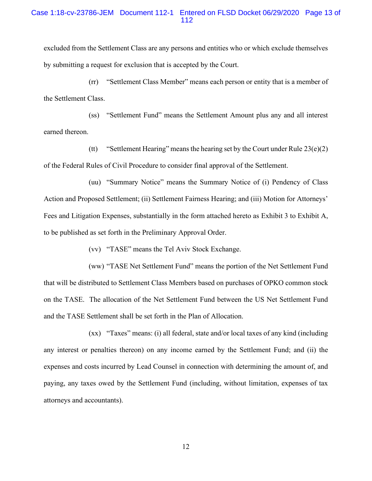# Case 1:18-cv-23786-JEM Document 112-1 Entered on FLSD Docket 06/29/2020 Page 13 of 112

excluded from the Settlement Class are any persons and entities who or which exclude themselves by submitting a request for exclusion that is accepted by the Court.

(rr) "Settlement Class Member" means each person or entity that is a member of the Settlement Class.

(ss) "Settlement Fund" means the Settlement Amount plus any and all interest earned thereon.

(tt) "Settlement Hearing" means the hearing set by the Court under Rule  $23(e)(2)$ of the Federal Rules of Civil Procedure to consider final approval of the Settlement.

(uu) "Summary Notice" means the Summary Notice of (i) Pendency of Class Action and Proposed Settlement; (ii) Settlement Fairness Hearing; and (iii) Motion for Attorneys' Fees and Litigation Expenses, substantially in the form attached hereto as Exhibit 3 to Exhibit A, to be published as set forth in the Preliminary Approval Order.

(vv) "TASE" means the Tel Aviv Stock Exchange.

(ww) "TASE Net Settlement Fund" means the portion of the Net Settlement Fund that will be distributed to Settlement Class Members based on purchases of OPKO common stock on the TASE. The allocation of the Net Settlement Fund between the US Net Settlement Fund and the TASE Settlement shall be set forth in the Plan of Allocation.

(xx) "Taxes" means: (i) all federal, state and/or local taxes of any kind (including any interest or penalties thereon) on any income earned by the Settlement Fund; and (ii) the expenses and costs incurred by Lead Counsel in connection with determining the amount of, and paying, any taxes owed by the Settlement Fund (including, without limitation, expenses of tax attorneys and accountants).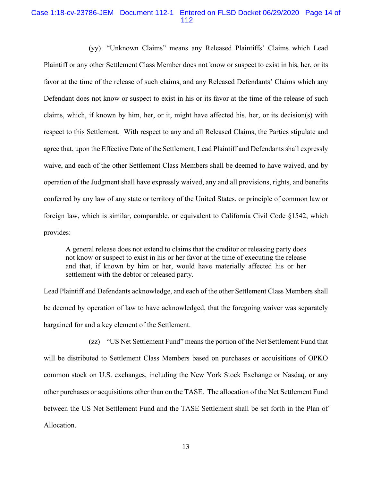# Case 1:18-cv-23786-JEM Document 112-1 Entered on FLSD Docket 06/29/2020 Page 14 of 112

(yy) "Unknown Claims" means any Released Plaintiffs' Claims which Lead Plaintiff or any other Settlement Class Member does not know or suspect to exist in his, her, or its favor at the time of the release of such claims, and any Released Defendants' Claims which any Defendant does not know or suspect to exist in his or its favor at the time of the release of such claims, which, if known by him, her, or it, might have affected his, her, or its decision(s) with respect to this Settlement. With respect to any and all Released Claims, the Parties stipulate and agree that, upon the Effective Date of the Settlement, Lead Plaintiff and Defendants shall expressly waive, and each of the other Settlement Class Members shall be deemed to have waived, and by operation of the Judgment shall have expressly waived, any and all provisions, rights, and benefits conferred by any law of any state or territory of the United States, or principle of common law or foreign law, which is similar, comparable, or equivalent to California Civil Code §1542, which provides:

A general release does not extend to claims that the creditor or releasing party does not know or suspect to exist in his or her favor at the time of executing the release and that, if known by him or her, would have materially affected his or her settlement with the debtor or released party.

Lead Plaintiff and Defendants acknowledge, and each of the other Settlement Class Members shall be deemed by operation of law to have acknowledged, that the foregoing waiver was separately bargained for and a key element of the Settlement.

(zz) "US Net Settlement Fund" means the portion of the Net Settlement Fund that will be distributed to Settlement Class Members based on purchases or acquisitions of OPKO common stock on U.S. exchanges, including the New York Stock Exchange or Nasdaq, or any other purchases or acquisitions other than on the TASE. The allocation of the Net Settlement Fund between the US Net Settlement Fund and the TASE Settlement shall be set forth in the Plan of Allocation.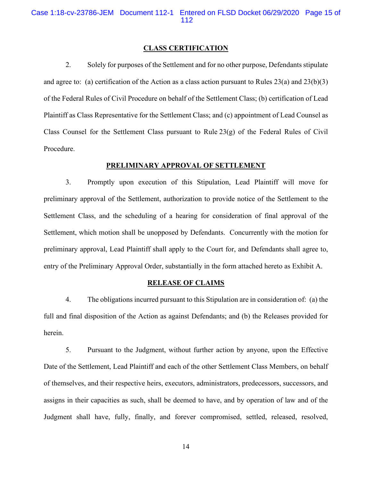Case 1:18-cv-23786-JEM Document 112-1 Entered on FLSD Docket 06/29/2020 Page 15 of 112

#### **CLASS CERTIFICATION**

2. Solely for purposes of the Settlement and for no other purpose, Defendants stipulate and agree to: (a) certification of the Action as a class action pursuant to Rules  $23(a)$  and  $23(b)(3)$ of the Federal Rules of Civil Procedure on behalf of the Settlement Class; (b) certification of Lead Plaintiff as Class Representative for the Settlement Class; and (c) appointment of Lead Counsel as Class Counsel for the Settlement Class pursuant to Rule  $23(g)$  of the Federal Rules of Civil Procedure.

### **PRELIMINARY APPROVAL OF SETTLEMENT**

3. Promptly upon execution of this Stipulation, Lead Plaintiff will move for preliminary approval of the Settlement, authorization to provide notice of the Settlement to the Settlement Class, and the scheduling of a hearing for consideration of final approval of the Settlement, which motion shall be unopposed by Defendants. Concurrently with the motion for preliminary approval, Lead Plaintiff shall apply to the Court for, and Defendants shall agree to, entry of the Preliminary Approval Order, substantially in the form attached hereto as Exhibit A.

## **RELEASE OF CLAIMS**

4. The obligations incurred pursuant to this Stipulation are in consideration of: (a) the full and final disposition of the Action as against Defendants; and (b) the Releases provided for herein.

5. Pursuant to the Judgment, without further action by anyone, upon the Effective Date of the Settlement, Lead Plaintiff and each of the other Settlement Class Members, on behalf of themselves, and their respective heirs, executors, administrators, predecessors, successors, and assigns in their capacities as such, shall be deemed to have, and by operation of law and of the Judgment shall have, fully, finally, and forever compromised, settled, released, resolved,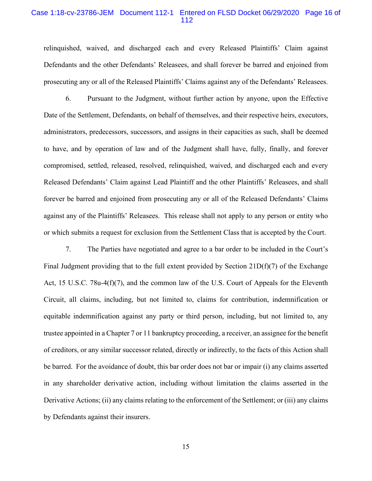### Case 1:18-cv-23786-JEM Document 112-1 Entered on FLSD Docket 06/29/2020 Page 16 of 112

relinquished, waived, and discharged each and every Released Plaintiffs' Claim against Defendants and the other Defendants' Releasees, and shall forever be barred and enjoined from prosecuting any or all of the Released Plaintiffs' Claims against any of the Defendants' Releasees.

6. Pursuant to the Judgment, without further action by anyone, upon the Effective Date of the Settlement, Defendants, on behalf of themselves, and their respective heirs, executors, administrators, predecessors, successors, and assigns in their capacities as such, shall be deemed to have, and by operation of law and of the Judgment shall have, fully, finally, and forever compromised, settled, released, resolved, relinquished, waived, and discharged each and every Released Defendants' Claim against Lead Plaintiff and the other Plaintiffs' Releasees, and shall forever be barred and enjoined from prosecuting any or all of the Released Defendants' Claims against any of the Plaintiffs' Releasees. This release shall not apply to any person or entity who or which submits a request for exclusion from the Settlement Class that is accepted by the Court.

7. The Parties have negotiated and agree to a bar order to be included in the Court's Final Judgment providing that to the full extent provided by Section  $21D(f)(7)$  of the Exchange Act, 15 U.S.C. 78u-4(f)(7), and the common law of the U.S. Court of Appeals for the Eleventh Circuit, all claims, including, but not limited to, claims for contribution, indemnification or equitable indemnification against any party or third person, including, but not limited to, any trustee appointed in a Chapter 7 or 11 bankruptcy proceeding, a receiver, an assignee for the benefit of creditors, or any similar successor related, directly or indirectly, to the facts of this Action shall be barred. For the avoidance of doubt, this bar order does not bar or impair (i) any claims asserted in any shareholder derivative action, including without limitation the claims asserted in the Derivative Actions; (ii) any claims relating to the enforcement of the Settlement; or (iii) any claims by Defendants against their insurers.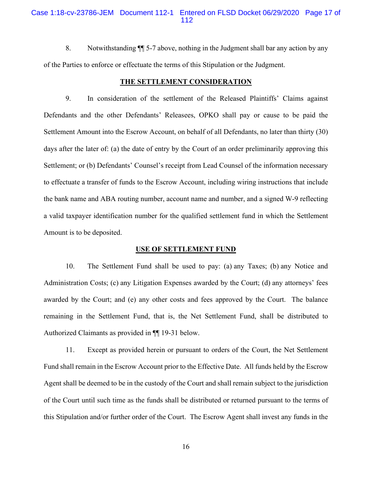# Case 1:18-cv-23786-JEM Document 112-1 Entered on FLSD Docket 06/29/2020 Page 17 of 112

8. Notwithstanding ¶¶ 5-7 above, nothing in the Judgment shall bar any action by any of the Parties to enforce or effectuate the terms of this Stipulation or the Judgment.

### **THE SETTLEMENT CONSIDERATION**

9. In consideration of the settlement of the Released Plaintiffs' Claims against Defendants and the other Defendants' Releasees, OPKO shall pay or cause to be paid the Settlement Amount into the Escrow Account, on behalf of all Defendants, no later than thirty (30) days after the later of: (a) the date of entry by the Court of an order preliminarily approving this Settlement; or (b) Defendants' Counsel's receipt from Lead Counsel of the information necessary to effectuate a transfer of funds to the Escrow Account, including wiring instructions that include the bank name and ABA routing number, account name and number, and a signed W-9 reflecting a valid taxpayer identification number for the qualified settlement fund in which the Settlement Amount is to be deposited.

#### **USE OF SETTLEMENT FUND**

10. The Settlement Fund shall be used to pay: (a) any Taxes; (b) any Notice and Administration Costs; (c) any Litigation Expenses awarded by the Court; (d) any attorneys' fees awarded by the Court; and (e) any other costs and fees approved by the Court. The balance remaining in the Settlement Fund, that is, the Net Settlement Fund, shall be distributed to Authorized Claimants as provided in ¶¶ 19-31 below.

11. Except as provided herein or pursuant to orders of the Court, the Net Settlement Fund shall remain in the Escrow Account prior to the Effective Date. All funds held by the Escrow Agent shall be deemed to be in the custody of the Court and shall remain subject to the jurisdiction of the Court until such time as the funds shall be distributed or returned pursuant to the terms of this Stipulation and/or further order of the Court. The Escrow Agent shall invest any funds in the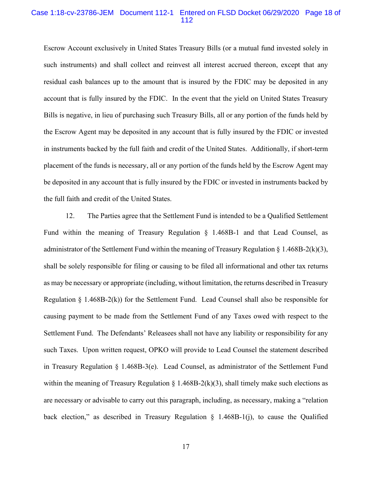### Case 1:18-cv-23786-JEM Document 112-1 Entered on FLSD Docket 06/29/2020 Page 18 of 112

Escrow Account exclusively in United States Treasury Bills (or a mutual fund invested solely in such instruments) and shall collect and reinvest all interest accrued thereon, except that any residual cash balances up to the amount that is insured by the FDIC may be deposited in any account that is fully insured by the FDIC. In the event that the yield on United States Treasury Bills is negative, in lieu of purchasing such Treasury Bills, all or any portion of the funds held by the Escrow Agent may be deposited in any account that is fully insured by the FDIC or invested in instruments backed by the full faith and credit of the United States. Additionally, if short-term placement of the funds is necessary, all or any portion of the funds held by the Escrow Agent may be deposited in any account that is fully insured by the FDIC or invested in instruments backed by the full faith and credit of the United States.

12. The Parties agree that the Settlement Fund is intended to be a Qualified Settlement Fund within the meaning of Treasury Regulation  $\S$  1.468B-1 and that Lead Counsel, as administrator of the Settlement Fund within the meaning of Treasury Regulation  $\S$  1.468B-2(k)(3), shall be solely responsible for filing or causing to be filed all informational and other tax returns as may be necessary or appropriate (including, without limitation, the returns described in Treasury Regulation  $\S$  1.468B-2(k)) for the Settlement Fund. Lead Counsel shall also be responsible for causing payment to be made from the Settlement Fund of any Taxes owed with respect to the Settlement Fund. The Defendants' Releasees shall not have any liability or responsibility for any such Taxes. Upon written request, OPKO will provide to Lead Counsel the statement described in Treasury Regulation § 1.468B-3(e). Lead Counsel, as administrator of the Settlement Fund within the meaning of Treasury Regulation § 1.468B-2(k)(3), shall timely make such elections as are necessary or advisable to carry out this paragraph, including, as necessary, making a "relation back election," as described in Treasury Regulation § 1.468B-1(j), to cause the Qualified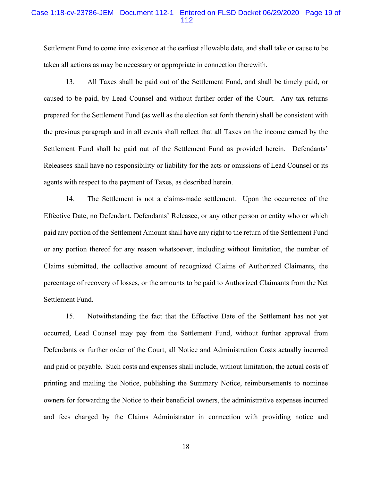## Case 1:18-cv-23786-JEM Document 112-1 Entered on FLSD Docket 06/29/2020 Page 19 of 112

Settlement Fund to come into existence at the earliest allowable date, and shall take or cause to be taken all actions as may be necessary or appropriate in connection therewith.

13. All Taxes shall be paid out of the Settlement Fund, and shall be timely paid, or caused to be paid, by Lead Counsel and without further order of the Court. Any tax returns prepared for the Settlement Fund (as well as the election set forth therein) shall be consistent with the previous paragraph and in all events shall reflect that all Taxes on the income earned by the Settlement Fund shall be paid out of the Settlement Fund as provided herein. Defendants' Releasees shall have no responsibility or liability for the acts or omissions of Lead Counsel or its agents with respect to the payment of Taxes, as described herein.

14. The Settlement is not a claims-made settlement. Upon the occurrence of the Effective Date, no Defendant, Defendants' Releasee, or any other person or entity who or which paid any portion of the Settlement Amount shall have any right to the return of the Settlement Fund or any portion thereof for any reason whatsoever, including without limitation, the number of Claims submitted, the collective amount of recognized Claims of Authorized Claimants, the percentage of recovery of losses, or the amounts to be paid to Authorized Claimants from the Net Settlement Fund.

15. Notwithstanding the fact that the Effective Date of the Settlement has not yet occurred, Lead Counsel may pay from the Settlement Fund, without further approval from Defendants or further order of the Court, all Notice and Administration Costs actually incurred and paid or payable. Such costs and expenses shall include, without limitation, the actual costs of printing and mailing the Notice, publishing the Summary Notice, reimbursements to nominee owners for forwarding the Notice to their beneficial owners, the administrative expenses incurred and fees charged by the Claims Administrator in connection with providing notice and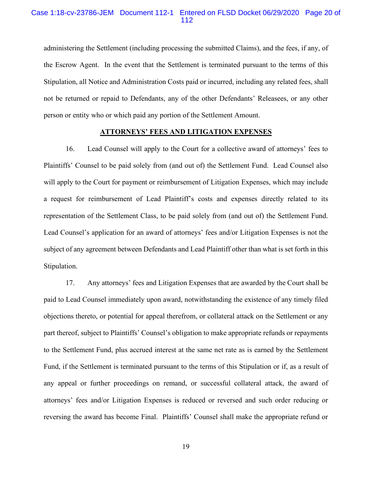# Case 1:18-cv-23786-JEM Document 112-1 Entered on FLSD Docket 06/29/2020 Page 20 of 112

administering the Settlement (including processing the submitted Claims), and the fees, if any, of the Escrow Agent. In the event that the Settlement is terminated pursuant to the terms of this Stipulation, all Notice and Administration Costs paid or incurred, including any related fees, shall not be returned or repaid to Defendants, any of the other Defendants' Releasees, or any other person or entity who or which paid any portion of the Settlement Amount.

### **ATTORNEYS' FEES AND LITIGATION EXPENSES**

16. Lead Counsel will apply to the Court for a collective award of attorneys' fees to Plaintiffs' Counsel to be paid solely from (and out of) the Settlement Fund. Lead Counsel also will apply to the Court for payment or reimbursement of Litigation Expenses, which may include a request for reimbursement of Lead Plaintiff's costs and expenses directly related to its representation of the Settlement Class, to be paid solely from (and out of) the Settlement Fund. Lead Counsel's application for an award of attorneys' fees and/or Litigation Expenses is not the subject of any agreement between Defendants and Lead Plaintiff other than what is set forth in this Stipulation.

17. Any attorneys' fees and Litigation Expenses that are awarded by the Court shall be paid to Lead Counsel immediately upon award, notwithstanding the existence of any timely filed objections thereto, or potential for appeal therefrom, or collateral attack on the Settlement or any part thereof, subject to Plaintiffs' Counsel's obligation to make appropriate refunds or repayments to the Settlement Fund, plus accrued interest at the same net rate as is earned by the Settlement Fund, if the Settlement is terminated pursuant to the terms of this Stipulation or if, as a result of any appeal or further proceedings on remand, or successful collateral attack, the award of attorneys' fees and/or Litigation Expenses is reduced or reversed and such order reducing or reversing the award has become Final. Plaintiffs' Counsel shall make the appropriate refund or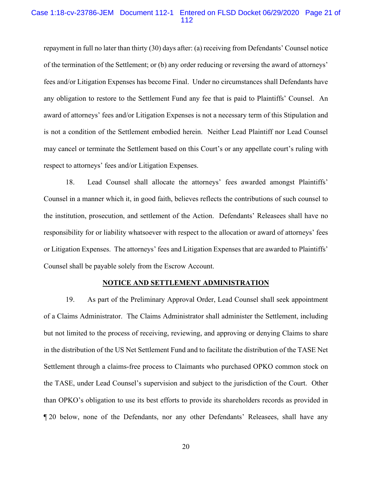### Case 1:18-cv-23786-JEM Document 112-1 Entered on FLSD Docket 06/29/2020 Page 21 of 112

repayment in full no later than thirty (30) days after: (a) receiving from Defendants' Counsel notice of the termination of the Settlement; or (b) any order reducing or reversing the award of attorneys' fees and/or Litigation Expenses has become Final. Under no circumstances shall Defendants have any obligation to restore to the Settlement Fund any fee that is paid to Plaintiffs' Counsel. An award of attorneys' fees and/or Litigation Expenses is not a necessary term of this Stipulation and is not a condition of the Settlement embodied herein. Neither Lead Plaintiff nor Lead Counsel may cancel or terminate the Settlement based on this Court's or any appellate court's ruling with respect to attorneys' fees and/or Litigation Expenses.

18. Lead Counsel shall allocate the attorneys' fees awarded amongst Plaintiffs' Counsel in a manner which it, in good faith, believes reflects the contributions of such counsel to the institution, prosecution, and settlement of the Action. Defendants' Releasees shall have no responsibility for or liability whatsoever with respect to the allocation or award of attorneys' fees or Litigation Expenses. The attorneys' fees and Litigation Expenses that are awarded to Plaintiffs' Counsel shall be payable solely from the Escrow Account.

#### **NOTICE AND SETTLEMENT ADMINISTRATION**

19. As part of the Preliminary Approval Order, Lead Counsel shall seek appointment of a Claims Administrator. The Claims Administrator shall administer the Settlement, including but not limited to the process of receiving, reviewing, and approving or denying Claims to share in the distribution of the US Net Settlement Fund and to facilitate the distribution of the TASE Net Settlement through a claims-free process to Claimants who purchased OPKO common stock on the TASE, under Lead Counsel's supervision and subject to the jurisdiction of the Court. Other than OPKO's obligation to use its best efforts to provide its shareholders records as provided in ¶ 20 below, none of the Defendants, nor any other Defendants' Releasees, shall have any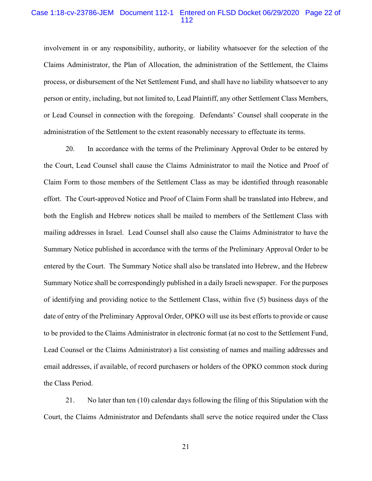## Case 1:18-cv-23786-JEM Document 112-1 Entered on FLSD Docket 06/29/2020 Page 22 of 112

involvement in or any responsibility, authority, or liability whatsoever for the selection of the Claims Administrator, the Plan of Allocation, the administration of the Settlement, the Claims process, or disbursement of the Net Settlement Fund, and shall have no liability whatsoever to any person or entity, including, but not limited to, Lead Plaintiff, any other Settlement Class Members, or Lead Counsel in connection with the foregoing. Defendants' Counsel shall cooperate in the administration of the Settlement to the extent reasonably necessary to effectuate its terms.

20. In accordance with the terms of the Preliminary Approval Order to be entered by the Court, Lead Counsel shall cause the Claims Administrator to mail the Notice and Proof of Claim Form to those members of the Settlement Class as may be identified through reasonable effort. The Court-approved Notice and Proof of Claim Form shall be translated into Hebrew, and both the English and Hebrew notices shall be mailed to members of the Settlement Class with mailing addresses in Israel. Lead Counsel shall also cause the Claims Administrator to have the Summary Notice published in accordance with the terms of the Preliminary Approval Order to be entered by the Court. The Summary Notice shall also be translated into Hebrew, and the Hebrew Summary Notice shall be correspondingly published in a daily Israeli newspaper. For the purposes of identifying and providing notice to the Settlement Class, within five (5) business days of the date of entry of the Preliminary Approval Order, OPKO will use its best efforts to provide or cause to be provided to the Claims Administrator in electronic format (at no cost to the Settlement Fund, Lead Counsel or the Claims Administrator) a list consisting of names and mailing addresses and email addresses, if available, of record purchasers or holders of the OPKO common stock during the Class Period.

21. No later than ten (10) calendar days following the filing of this Stipulation with the Court, the Claims Administrator and Defendants shall serve the notice required under the Class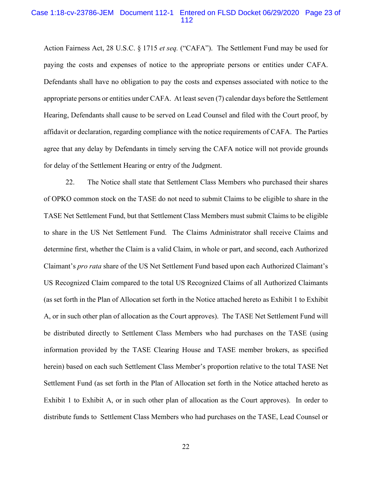### Case 1:18-cv-23786-JEM Document 112-1 Entered on FLSD Docket 06/29/2020 Page 23 of 112

Action Fairness Act, 28 U.S.C. § 1715 *et seq.* ("CAFA"). The Settlement Fund may be used for paying the costs and expenses of notice to the appropriate persons or entities under CAFA. Defendants shall have no obligation to pay the costs and expenses associated with notice to the appropriate persons or entities under CAFA. At least seven (7) calendar days before the Settlement Hearing, Defendants shall cause to be served on Lead Counsel and filed with the Court proof, by affidavit or declaration, regarding compliance with the notice requirements of CAFA. The Parties agree that any delay by Defendants in timely serving the CAFA notice will not provide grounds for delay of the Settlement Hearing or entry of the Judgment.

22. The Notice shall state that Settlement Class Members who purchased their shares of OPKO common stock on the TASE do not need to submit Claims to be eligible to share in the TASE Net Settlement Fund, but that Settlement Class Members must submit Claims to be eligible to share in the US Net Settlement Fund. The Claims Administrator shall receive Claims and determine first, whether the Claim is a valid Claim, in whole or part, and second, each Authorized Claimant's *pro rata* share of the US Net Settlement Fund based upon each Authorized Claimant's US Recognized Claim compared to the total US Recognized Claims of all Authorized Claimants (as set forth in the Plan of Allocation set forth in the Notice attached hereto as Exhibit 1 to Exhibit A, or in such other plan of allocation as the Court approves). The TASE Net Settlement Fund will be distributed directly to Settlement Class Members who had purchases on the TASE (using information provided by the TASE Clearing House and TASE member brokers, as specified herein) based on each such Settlement Class Member's proportion relative to the total TASE Net Settlement Fund (as set forth in the Plan of Allocation set forth in the Notice attached hereto as Exhibit 1 to Exhibit A, or in such other plan of allocation as the Court approves). In order to distribute funds to Settlement Class Members who had purchases on the TASE, Lead Counsel or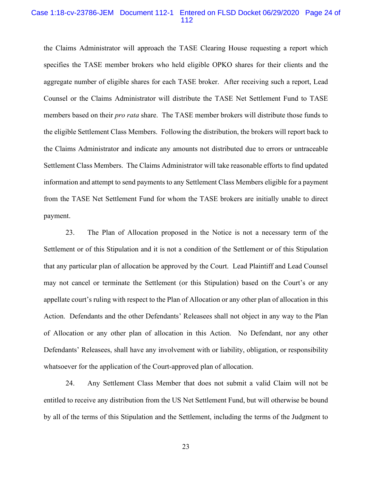### Case 1:18-cv-23786-JEM Document 112-1 Entered on FLSD Docket 06/29/2020 Page 24 of 112

the Claims Administrator will approach the TASE Clearing House requesting a report which specifies the TASE member brokers who held eligible OPKO shares for their clients and the aggregate number of eligible shares for each TASE broker. After receiving such a report, Lead Counsel or the Claims Administrator will distribute the TASE Net Settlement Fund to TASE members based on their *pro rata* share. The TASE member brokers will distribute those funds to the eligible Settlement Class Members. Following the distribution, the brokers will report back to the Claims Administrator and indicate any amounts not distributed due to errors or untraceable Settlement Class Members. The Claims Administrator will take reasonable efforts to find updated information and attempt to send payments to any Settlement Class Members eligible for a payment from the TASE Net Settlement Fund for whom the TASE brokers are initially unable to direct payment.

23. The Plan of Allocation proposed in the Notice is not a necessary term of the Settlement or of this Stipulation and it is not a condition of the Settlement or of this Stipulation that any particular plan of allocation be approved by the Court. Lead Plaintiff and Lead Counsel may not cancel or terminate the Settlement (or this Stipulation) based on the Court's or any appellate court's ruling with respect to the Plan of Allocation or any other plan of allocation in this Action. Defendants and the other Defendants' Releasees shall not object in any way to the Plan of Allocation or any other plan of allocation in this Action. No Defendant, nor any other Defendants' Releasees, shall have any involvement with or liability, obligation, or responsibility whatsoever for the application of the Court-approved plan of allocation.

24. Any Settlement Class Member that does not submit a valid Claim will not be entitled to receive any distribution from the US Net Settlement Fund, but will otherwise be bound by all of the terms of this Stipulation and the Settlement, including the terms of the Judgment to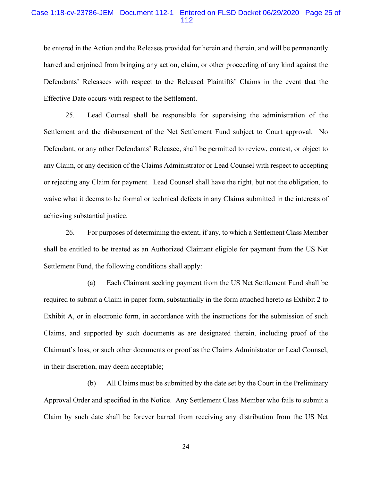## Case 1:18-cv-23786-JEM Document 112-1 Entered on FLSD Docket 06/29/2020 Page 25 of 112

be entered in the Action and the Releases provided for herein and therein, and will be permanently barred and enjoined from bringing any action, claim, or other proceeding of any kind against the Defendants' Releasees with respect to the Released Plaintiffs' Claims in the event that the Effective Date occurs with respect to the Settlement.

25. Lead Counsel shall be responsible for supervising the administration of the Settlement and the disbursement of the Net Settlement Fund subject to Court approval. No Defendant, or any other Defendants' Releasee, shall be permitted to review, contest, or object to any Claim, or any decision of the Claims Administrator or Lead Counsel with respect to accepting or rejecting any Claim for payment. Lead Counsel shall have the right, but not the obligation, to waive what it deems to be formal or technical defects in any Claims submitted in the interests of achieving substantial justice.

26. For purposes of determining the extent, if any, to which a Settlement Class Member shall be entitled to be treated as an Authorized Claimant eligible for payment from the US Net Settlement Fund, the following conditions shall apply:

(a) Each Claimant seeking payment from the US Net Settlement Fund shall be required to submit a Claim in paper form, substantially in the form attached hereto as Exhibit 2 to Exhibit A, or in electronic form, in accordance with the instructions for the submission of such Claims, and supported by such documents as are designated therein, including proof of the Claimant's loss, or such other documents or proof as the Claims Administrator or Lead Counsel, in their discretion, may deem acceptable;

(b) All Claims must be submitted by the date set by the Court in the Preliminary Approval Order and specified in the Notice. Any Settlement Class Member who fails to submit a Claim by such date shall be forever barred from receiving any distribution from the US Net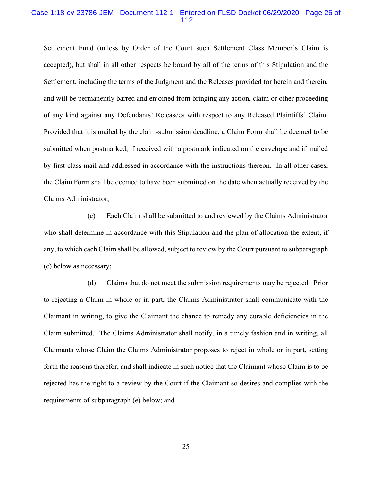#### Case 1:18-cv-23786-JEM Document 112-1 Entered on FLSD Docket 06/29/2020 Page 26 of 112

Settlement Fund (unless by Order of the Court such Settlement Class Member's Claim is accepted), but shall in all other respects be bound by all of the terms of this Stipulation and the Settlement, including the terms of the Judgment and the Releases provided for herein and therein, and will be permanently barred and enjoined from bringing any action, claim or other proceeding of any kind against any Defendants' Releasees with respect to any Released Plaintiffs' Claim. Provided that it is mailed by the claim-submission deadline, a Claim Form shall be deemed to be submitted when postmarked, if received with a postmark indicated on the envelope and if mailed by first-class mail and addressed in accordance with the instructions thereon. In all other cases, the Claim Form shall be deemed to have been submitted on the date when actually received by the Claims Administrator;

(c) Each Claim shall be submitted to and reviewed by the Claims Administrator who shall determine in accordance with this Stipulation and the plan of allocation the extent, if any, to which each Claim shall be allowed, subject to review by the Court pursuant to subparagraph (e) below as necessary;

(d) Claims that do not meet the submission requirements may be rejected. Prior to rejecting a Claim in whole or in part, the Claims Administrator shall communicate with the Claimant in writing, to give the Claimant the chance to remedy any curable deficiencies in the Claim submitted. The Claims Administrator shall notify, in a timely fashion and in writing, all Claimants whose Claim the Claims Administrator proposes to reject in whole or in part, setting forth the reasons therefor, and shall indicate in such notice that the Claimant whose Claim is to be rejected has the right to a review by the Court if the Claimant so desires and complies with the requirements of subparagraph (e) below; and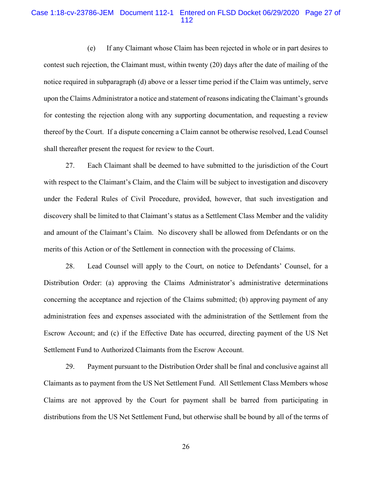## Case 1:18-cv-23786-JEM Document 112-1 Entered on FLSD Docket 06/29/2020 Page 27 of 112

(e) If any Claimant whose Claim has been rejected in whole or in part desires to contest such rejection, the Claimant must, within twenty (20) days after the date of mailing of the notice required in subparagraph (d) above or a lesser time period if the Claim was untimely, serve upon the Claims Administrator a notice and statement of reasons indicating the Claimant's grounds for contesting the rejection along with any supporting documentation, and requesting a review thereof by the Court. If a dispute concerning a Claim cannot be otherwise resolved, Lead Counsel shall thereafter present the request for review to the Court.

27. Each Claimant shall be deemed to have submitted to the jurisdiction of the Court with respect to the Claimant's Claim, and the Claim will be subject to investigation and discovery under the Federal Rules of Civil Procedure, provided, however, that such investigation and discovery shall be limited to that Claimant's status as a Settlement Class Member and the validity and amount of the Claimant's Claim. No discovery shall be allowed from Defendants or on the merits of this Action or of the Settlement in connection with the processing of Claims.

28. Lead Counsel will apply to the Court, on notice to Defendants' Counsel, for a Distribution Order: (a) approving the Claims Administrator's administrative determinations concerning the acceptance and rejection of the Claims submitted; (b) approving payment of any administration fees and expenses associated with the administration of the Settlement from the Escrow Account; and (c) if the Effective Date has occurred, directing payment of the US Net Settlement Fund to Authorized Claimants from the Escrow Account.

29. Payment pursuant to the Distribution Order shall be final and conclusive against all Claimants as to payment from the US Net Settlement Fund. All Settlement Class Members whose Claims are not approved by the Court for payment shall be barred from participating in distributions from the US Net Settlement Fund, but otherwise shall be bound by all of the terms of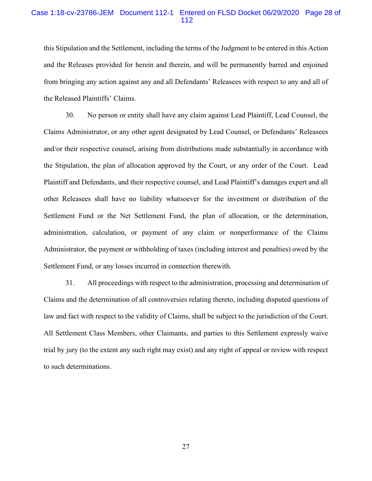# Case 1:18-cv-23786-JEM Document 112-1 Entered on FLSD Docket 06/29/2020 Page 28 of 112

this Stipulation and the Settlement, including the terms of the Judgment to be entered in this Action and the Releases provided for herein and therein, and will be permanently barred and enjoined from bringing any action against any and all Defendants' Releasees with respect to any and all of the Released Plaintiffs' Claims.

30. No person or entity shall have any claim against Lead Plaintiff, Lead Counsel, the Claims Administrator, or any other agent designated by Lead Counsel, or Defendants' Releasees and/or their respective counsel, arising from distributions made substantially in accordance with the Stipulation, the plan of allocation approved by the Court, or any order of the Court. Lead Plaintiff and Defendants, and their respective counsel, and Lead Plaintiff's damages expert and all other Releasees shall have no liability whatsoever for the investment or distribution of the Settlement Fund or the Net Settlement Fund, the plan of allocation, or the determination, administration, calculation, or payment of any claim or nonperformance of the Claims Administrator, the payment or withholding of taxes (including interest and penalties) owed by the Settlement Fund, or any losses incurred in connection therewith.

31. All proceedings with respect to the administration, processing and determination of Claims and the determination of all controversies relating thereto, including disputed questions of law and fact with respect to the validity of Claims, shall be subject to the jurisdiction of the Court. All Settlement Class Members, other Claimants, and parties to this Settlement expressly waive trial by jury (to the extent any such right may exist) and any right of appeal or review with respect to such determinations.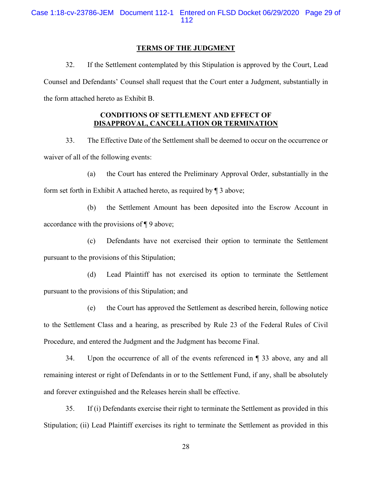Case 1:18-cv-23786-JEM Document 112-1 Entered on FLSD Docket 06/29/2020 Page 29 of 112

#### **TERMS OF THE JUDGMENT**

32. If the Settlement contemplated by this Stipulation is approved by the Court, Lead Counsel and Defendants' Counsel shall request that the Court enter a Judgment, substantially in the form attached hereto as Exhibit B.

# **CONDITIONS OF SETTLEMENT AND EFFECT OF DISAPPROVAL, CANCELLATION OR TERMINATION**

33. The Effective Date of the Settlement shall be deemed to occur on the occurrence or waiver of all of the following events:

(a) the Court has entered the Preliminary Approval Order, substantially in the form set forth in Exhibit A attached hereto, as required by ¶ 3 above;

(b) the Settlement Amount has been deposited into the Escrow Account in accordance with the provisions of ¶ 9 above;

(c) Defendants have not exercised their option to terminate the Settlement pursuant to the provisions of this Stipulation;

(d) Lead Plaintiff has not exercised its option to terminate the Settlement pursuant to the provisions of this Stipulation; and

(e) the Court has approved the Settlement as described herein, following notice to the Settlement Class and a hearing, as prescribed by Rule 23 of the Federal Rules of Civil Procedure, and entered the Judgment and the Judgment has become Final.

34. Upon the occurrence of all of the events referenced in ¶ 33 above, any and all remaining interest or right of Defendants in or to the Settlement Fund, if any, shall be absolutely and forever extinguished and the Releases herein shall be effective.

35. If (i) Defendants exercise their right to terminate the Settlement as provided in this Stipulation; (ii) Lead Plaintiff exercises its right to terminate the Settlement as provided in this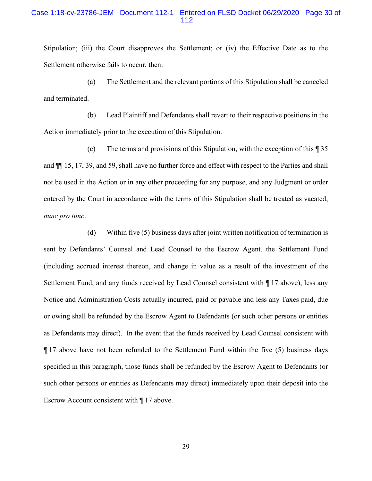Stipulation; (iii) the Court disapproves the Settlement; or (iv) the Effective Date as to the Settlement otherwise fails to occur, then:

(a) The Settlement and the relevant portions of this Stipulation shall be canceled and terminated.

(b) Lead Plaintiff and Defendants shall revert to their respective positions in the Action immediately prior to the execution of this Stipulation.

(c) The terms and provisions of this Stipulation, with the exception of this ¶ 35 and ¶¶ 15, 17, 39, and 59, shall have no further force and effect with respect to the Parties and shall not be used in the Action or in any other proceeding for any purpose, and any Judgment or order entered by the Court in accordance with the terms of this Stipulation shall be treated as vacated, *nunc pro tunc*.

(d) Within five (5) business days after joint written notification of termination is sent by Defendants' Counsel and Lead Counsel to the Escrow Agent, the Settlement Fund (including accrued interest thereon, and change in value as a result of the investment of the Settlement Fund, and any funds received by Lead Counsel consistent with ¶ 17 above), less any Notice and Administration Costs actually incurred, paid or payable and less any Taxes paid, due or owing shall be refunded by the Escrow Agent to Defendants (or such other persons or entities as Defendants may direct). In the event that the funds received by Lead Counsel consistent with ¶ 17 above have not been refunded to the Settlement Fund within the five (5) business days specified in this paragraph, those funds shall be refunded by the Escrow Agent to Defendants (or such other persons or entities as Defendants may direct) immediately upon their deposit into the Escrow Account consistent with ¶ 17 above.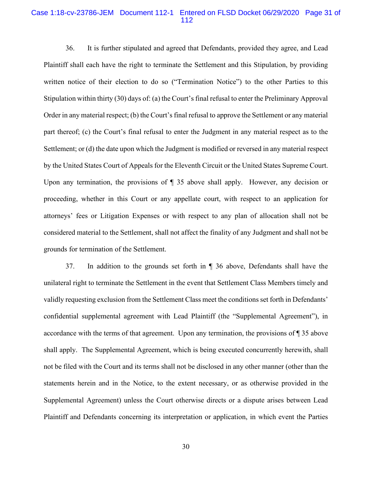## Case 1:18-cv-23786-JEM Document 112-1 Entered on FLSD Docket 06/29/2020 Page 31 of 112

36. It is further stipulated and agreed that Defendants, provided they agree, and Lead Plaintiff shall each have the right to terminate the Settlement and this Stipulation, by providing written notice of their election to do so ("Termination Notice") to the other Parties to this Stipulation within thirty (30) days of: (a) the Court's final refusal to enter the Preliminary Approval Order in any material respect; (b) the Court's final refusal to approve the Settlement or any material part thereof; (c) the Court's final refusal to enter the Judgment in any material respect as to the Settlement; or (d) the date upon which the Judgment is modified or reversed in any material respect by the United States Court of Appeals for the Eleventh Circuit or the United States Supreme Court. Upon any termination, the provisions of  $\P$  35 above shall apply. However, any decision or proceeding, whether in this Court or any appellate court, with respect to an application for attorneys' fees or Litigation Expenses or with respect to any plan of allocation shall not be considered material to the Settlement, shall not affect the finality of any Judgment and shall not be grounds for termination of the Settlement.

37. In addition to the grounds set forth in ¶ 36 above, Defendants shall have the unilateral right to terminate the Settlement in the event that Settlement Class Members timely and validly requesting exclusion from the Settlement Class meet the conditions set forth in Defendants' confidential supplemental agreement with Lead Plaintiff (the "Supplemental Agreement"), in accordance with the terms of that agreement. Upon any termination, the provisions of ¶ 35 above shall apply. The Supplemental Agreement, which is being executed concurrently herewith, shall not be filed with the Court and its terms shall not be disclosed in any other manner (other than the statements herein and in the Notice, to the extent necessary, or as otherwise provided in the Supplemental Agreement) unless the Court otherwise directs or a dispute arises between Lead Plaintiff and Defendants concerning its interpretation or application, in which event the Parties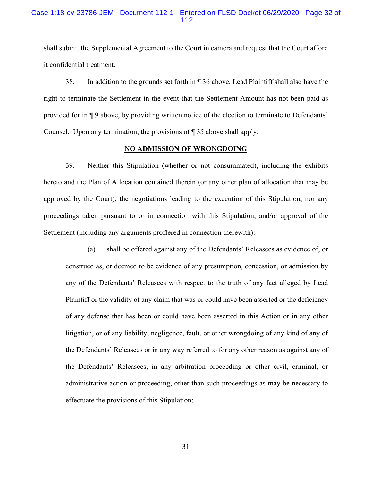# Case 1:18-cv-23786-JEM Document 112-1 Entered on FLSD Docket 06/29/2020 Page 32 of 112

shall submit the Supplemental Agreement to the Court in camera and request that the Court afford it confidential treatment.

38. In addition to the grounds set forth in ¶ 36 above, Lead Plaintiff shall also have the right to terminate the Settlement in the event that the Settlement Amount has not been paid as provided for in ¶ 9 above, by providing written notice of the election to terminate to Defendants' Counsel. Upon any termination, the provisions of ¶ 35 above shall apply.

#### **NO ADMISSION OF WRONGDOING**

39. Neither this Stipulation (whether or not consummated), including the exhibits hereto and the Plan of Allocation contained therein (or any other plan of allocation that may be approved by the Court), the negotiations leading to the execution of this Stipulation, nor any proceedings taken pursuant to or in connection with this Stipulation, and/or approval of the Settlement (including any arguments proffered in connection therewith):

(a) shall be offered against any of the Defendants' Releasees as evidence of, or construed as, or deemed to be evidence of any presumption, concession, or admission by any of the Defendants' Releasees with respect to the truth of any fact alleged by Lead Plaintiff or the validity of any claim that was or could have been asserted or the deficiency of any defense that has been or could have been asserted in this Action or in any other litigation, or of any liability, negligence, fault, or other wrongdoing of any kind of any of the Defendants' Releasees or in any way referred to for any other reason as against any of the Defendants' Releasees, in any arbitration proceeding or other civil, criminal, or administrative action or proceeding, other than such proceedings as may be necessary to effectuate the provisions of this Stipulation;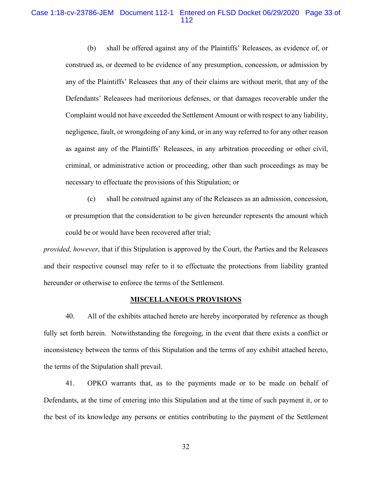## Case 1:18-cv-23786-JEM Document 112-1 Entered on FLSD Docket 06/29/2020 Page 33 of 112

(b) shall be offered against any of the Plaintiffs' Releasees, as evidence of, or construed as, or deemed to be evidence of any presumption, concession, or admission by any of the Plaintiffs' Releasees that any of their claims are without merit, that any of the Defendants' Releasees had meritorious defenses, or that damages recoverable under the Complaint would not have exceeded the Settlement Amount or with respect to any liability, negligence, fault, or wrongdoing of any kind, or in any way referred to for any other reason as against any of the Plaintiffs' Releasees, in any arbitration proceeding or other civil, criminal, or administrative action or proceeding, other than such proceedings as may be necessary to effectuate the provisions of this Stipulation; or

(c) shall be construed against any of the Releasees as an admission, concession, or presumption that the consideration to be given hereunder represents the amount which could be or would have been recovered after trial;

*provided, however*, that if this Stipulation is approved by the Court, the Parties and the Releasees and their respective counsel may refer to it to effectuate the protections from liability granted hereunder or otherwise to enforce the terms of the Settlement.

#### **MISCELLANEOUS PROVISIONS**

40. All of the exhibits attached hereto are hereby incorporated by reference as though fully set forth herein. Notwithstanding the foregoing, in the event that there exists a conflict or inconsistency between the terms of this Stipulation and the terms of any exhibit attached hereto, the terms of the Stipulation shall prevail.

41. OPKO warrants that, as to the payments made or to be made on behalf of Defendants, at the time of entering into this Stipulation and at the time of such payment it, or to the best of its knowledge any persons or entities contributing to the payment of the Settlement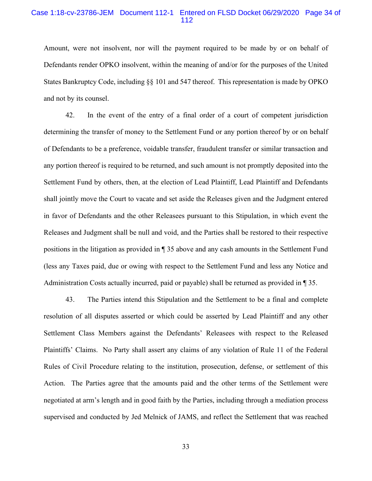## Case 1:18-cv-23786-JEM Document 112-1 Entered on FLSD Docket 06/29/2020 Page 34 of 112

Amount, were not insolvent, nor will the payment required to be made by or on behalf of Defendants render OPKO insolvent, within the meaning of and/or for the purposes of the United States Bankruptcy Code, including §§ 101 and 547 thereof. This representation is made by OPKO and not by its counsel.

42. In the event of the entry of a final order of a court of competent jurisdiction determining the transfer of money to the Settlement Fund or any portion thereof by or on behalf of Defendants to be a preference, voidable transfer, fraudulent transfer or similar transaction and any portion thereof is required to be returned, and such amount is not promptly deposited into the Settlement Fund by others, then, at the election of Lead Plaintiff, Lead Plaintiff and Defendants shall jointly move the Court to vacate and set aside the Releases given and the Judgment entered in favor of Defendants and the other Releasees pursuant to this Stipulation, in which event the Releases and Judgment shall be null and void, and the Parties shall be restored to their respective positions in the litigation as provided in ¶ 35 above and any cash amounts in the Settlement Fund (less any Taxes paid, due or owing with respect to the Settlement Fund and less any Notice and Administration Costs actually incurred, paid or payable) shall be returned as provided in ¶ 35.

43. The Parties intend this Stipulation and the Settlement to be a final and complete resolution of all disputes asserted or which could be asserted by Lead Plaintiff and any other Settlement Class Members against the Defendants' Releasees with respect to the Released Plaintiffs' Claims. No Party shall assert any claims of any violation of Rule 11 of the Federal Rules of Civil Procedure relating to the institution, prosecution, defense, or settlement of this Action. The Parties agree that the amounts paid and the other terms of the Settlement were negotiated at arm's length and in good faith by the Parties, including through a mediation process supervised and conducted by Jed Melnick of JAMS, and reflect the Settlement that was reached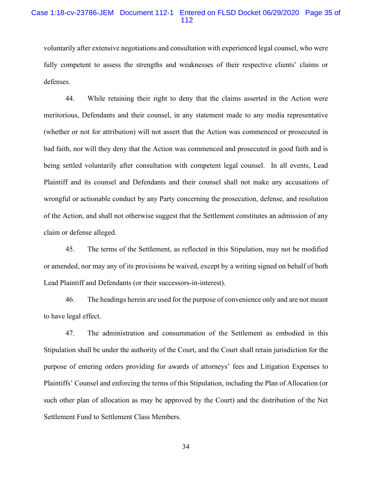voluntarily after extensive negotiations and consultation with experienced legal counsel, who were fully competent to assess the strengths and weaknesses of their respective clients' claims or defenses.

44. While retaining their right to deny that the claims asserted in the Action were meritorious, Defendants and their counsel, in any statement made to any media representative (whether or not for attribution) will not assert that the Action was commenced or prosecuted in bad faith, nor will they deny that the Action was commenced and prosecuted in good faith and is being settled voluntarily after consultation with competent legal counsel. In all events, Lead Plaintiff and its counsel and Defendants and their counsel shall not make any accusations of wrongful or actionable conduct by any Party concerning the prosecution, defense, and resolution of the Action, and shall not otherwise suggest that the Settlement constitutes an admission of any claim or defense alleged.

45. The terms of the Settlement, as reflected in this Stipulation, may not be modified or amended, nor may any of its provisions be waived, except by a writing signed on behalf of both Lead Plaintiff and Defendants (or their successors-in-interest).

46. The headings herein are used for the purpose of convenience only and are not meant to have legal effect.

47. The administration and consummation of the Settlement as embodied in this Stipulation shall be under the authority of the Court, and the Court shall retain jurisdiction for the purpose of entering orders providing for awards of attorneys' fees and Litigation Expenses to Plaintiffs' Counsel and enforcing the terms of this Stipulation, including the Plan of Allocation (or such other plan of allocation as may be approved by the Court) and the distribution of the Net Settlement Fund to Settlement Class Members.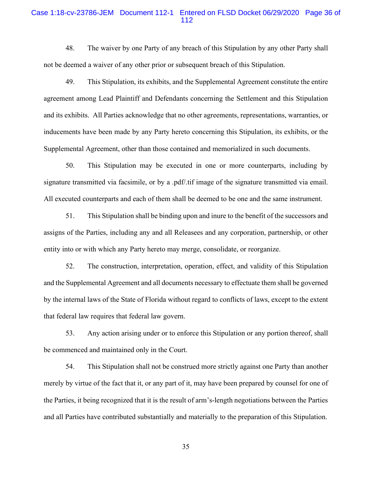## Case 1:18-cv-23786-JEM Document 112-1 Entered on FLSD Docket 06/29/2020 Page 36 of 112

48. The waiver by one Party of any breach of this Stipulation by any other Party shall not be deemed a waiver of any other prior or subsequent breach of this Stipulation.

49. This Stipulation, its exhibits, and the Supplemental Agreement constitute the entire agreement among Lead Plaintiff and Defendants concerning the Settlement and this Stipulation and its exhibits. All Parties acknowledge that no other agreements, representations, warranties, or inducements have been made by any Party hereto concerning this Stipulation, its exhibits, or the Supplemental Agreement, other than those contained and memorialized in such documents.

50. This Stipulation may be executed in one or more counterparts, including by signature transmitted via facsimile, or by a .pdf/.tif image of the signature transmitted via email. All executed counterparts and each of them shall be deemed to be one and the same instrument.

51. This Stipulation shall be binding upon and inure to the benefit of the successors and assigns of the Parties, including any and all Releasees and any corporation, partnership, or other entity into or with which any Party hereto may merge, consolidate, or reorganize.

52. The construction, interpretation, operation, effect, and validity of this Stipulation and the Supplemental Agreement and all documents necessary to effectuate them shall be governed by the internal laws of the State of Florida without regard to conflicts of laws, except to the extent that federal law requires that federal law govern.

53. Any action arising under or to enforce this Stipulation or any portion thereof, shall be commenced and maintained only in the Court.

54. This Stipulation shall not be construed more strictly against one Party than another merely by virtue of the fact that it, or any part of it, may have been prepared by counsel for one of the Parties, it being recognized that it is the result of arm's-length negotiations between the Parties and all Parties have contributed substantially and materially to the preparation of this Stipulation.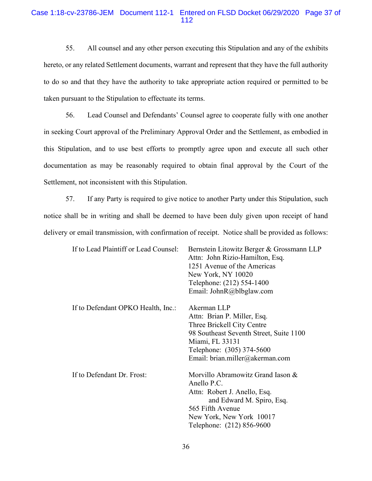# Case 1:18-cv-23786-JEM Document 112-1 Entered on FLSD Docket 06/29/2020 Page 37 of 112

55. All counsel and any other person executing this Stipulation and any of the exhibits hereto, or any related Settlement documents, warrant and represent that they have the full authority to do so and that they have the authority to take appropriate action required or permitted to be taken pursuant to the Stipulation to effectuate its terms.

56. Lead Counsel and Defendants' Counsel agree to cooperate fully with one another in seeking Court approval of the Preliminary Approval Order and the Settlement, as embodied in this Stipulation, and to use best efforts to promptly agree upon and execute all such other documentation as may be reasonably required to obtain final approval by the Court of the Settlement, not inconsistent with this Stipulation.

57. If any Party is required to give notice to another Party under this Stipulation, such notice shall be in writing and shall be deemed to have been duly given upon receipt of hand delivery or email transmission, with confirmation of receipt. Notice shall be provided as follows:

| If to Lead Plaintiff or Lead Counsel: | Bernstein Litowitz Berger & Grossmann LLP<br>Attn: John Rizio-Hamilton, Esq.<br>1251 Avenue of the Americas<br>New York, NY 10020<br>Telephone: (212) 554-1400<br>Email: JohnR@blbglaw.com             |
|---------------------------------------|--------------------------------------------------------------------------------------------------------------------------------------------------------------------------------------------------------|
| If to Defendant OPKO Health, Inc.:    | Akerman LLP<br>Attn: Brian P. Miller, Esq.<br>Three Brickell City Centre<br>98 Southeast Seventh Street, Suite 1100<br>Miami, FL 33131<br>Telephone: (305) 374-5600<br>Email: brian.miller@akerman.com |
| If to Defendant Dr. Frost:            | Morvillo Abramowitz Grand Iason &<br>Anello P.C.<br>Attn: Robert J. Anello, Esq.<br>and Edward M. Spiro, Esq.<br>565 Fifth Avenue<br>New York, New York 10017<br>Telephone: (212) 856-9600             |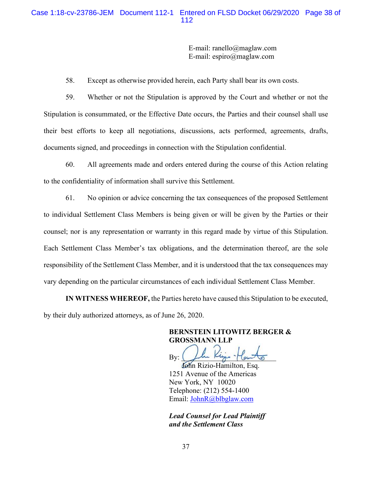# Case 1:18-cv-23786-JEM Document 112-1 Entered on FLSD Docket 06/29/2020 Page 38 of 112

E-mail: ranello@maglaw.com E-mail: espiro@maglaw.com

58. Except as otherwise provided herein, each Party shall bear its own costs.

59. Whether or not the Stipulation is approved by the Court and whether or not the Stipulation is consummated, or the Effective Date occurs, the Parties and their counsel shall use their best efforts to keep all negotiations, discussions, acts performed, agreements, drafts, documents signed, and proceedings in connection with the Stipulation confidential.

60. All agreements made and orders entered during the course of this Action relating to the confidentiality of information shall survive this Settlement.

61. No opinion or advice concerning the tax consequences of the proposed Settlement to individual Settlement Class Members is being given or will be given by the Parties or their counsel; nor is any representation or warranty in this regard made by virtue of this Stipulation. Each Settlement Class Member's tax obligations, and the determination thereof, are the sole responsibility of the Settlement Class Member, and it is understood that the tax consequences may vary depending on the particular circumstances of each individual Settlement Class Member.

**IN WITNESS WHEREOF,** the Parties hereto have caused this Stipulation to be executed, by their duly authorized attorneys, as of June 26, 2020.

> **BERNSTEIN LITOWITZ BERGER & GROSSMANN LLP**

 $By: 200$  Kings - Counter

 John Rizio-Hamilton, Esq. 1251 Avenue of the Americas New York, NY 10020 Telephone: (212) 554-1400 Email: JohnR@blbglaw.com

*Lead Counsel for Lead Plaintiff and the Settlement Class*